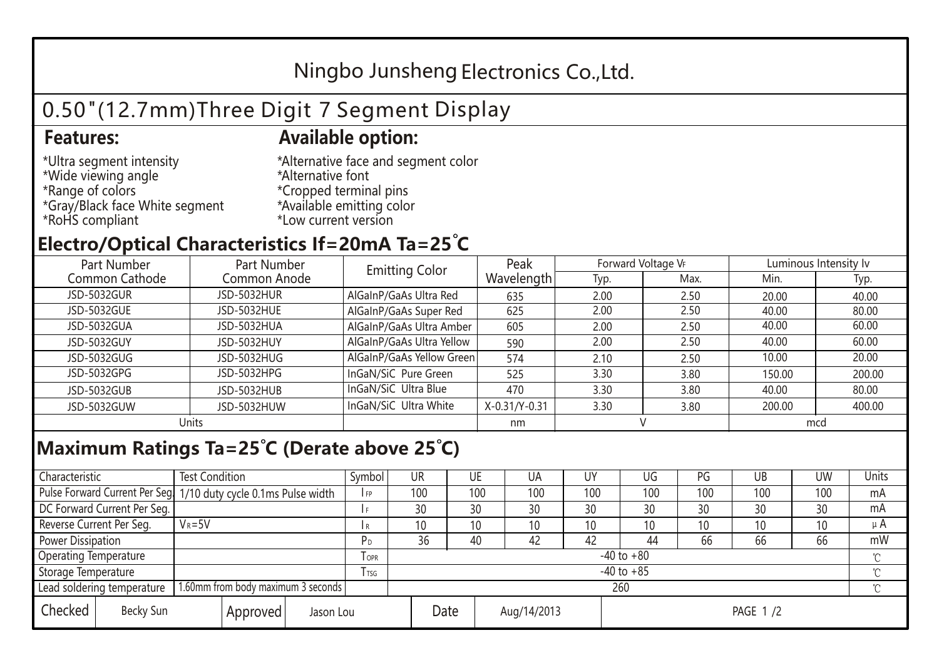## Ningbo Junsheng Electronics Co.,Ltd.

# 0.50"(12.7mm)Three Digit 7 Segment Display

### **Features: Available option:**

- \*Ultra segment intensity \*Wide viewing angle \*Range of colors \*Gray/Black face White segment \*RoHS compliant
- \*Alternative face and segment color \*Alternative font \*Cropped terminal pins \*Available emitting color \*Low current version

### **Electro/Optical Characteristics If=20mA Ta=25 C**

| Part Number<br>Part Number |              | <b>Emitting Color</b>     | Peak          | Forward Voltage VF |      | Luminous Intensity Iv |        |  |
|----------------------------|--------------|---------------------------|---------------|--------------------|------|-----------------------|--------|--|
| Common Cathode             | Common Anode |                           | Wavelength    | Typ.               | Max. | Min.                  | Typ.   |  |
| JSD-5032GUR                | JSD-5032HUR  | AlGaInP/GaAs Ultra Red    | 635           | 2.00               | 2.50 | 20.00                 | 40.00  |  |
| JSD-5032GUE                | JSD-5032HUE  | AlGaInP/GaAs Super Red    | 625           | 2.00               | 2.50 | 40.00                 | 80.00  |  |
| JSD-5032GUA                | JSD-5032HUA  | AlGaInP/GaAs Ultra Amber  | 605           | 2.00               | 2.50 | 40.00                 | 60.00  |  |
| JSD-5032GUY                | JSD-5032HUY  | AlGaInP/GaAs Ultra Yellow | 590           | 2.00               | 2.50 | 40.00                 | 60.00  |  |
| JSD-5032GUG                | JSD-5032HUG  | AlGaInP/GaAs Yellow Green | 574           | 2.10               | 2.50 | 10.00                 | 20.00  |  |
| JSD-5032GPG                | JSD-5032HPG  | InGaN/SiC Pure Green      | 525           | 3.30               | 3.80 | 150.00                | 200.00 |  |
| JSD-5032GUB                | JSD-5032HUB  | InGaN/SiC Ultra Blue      | 470           | 3.30               | 3.80 | 40.00                 | 80.00  |  |
| JSD-5032GUW                | JSD-5032HUW  | InGaN/SiC Ultra White     | X-0.31/Y-0.31 | 3.30               | 3.80 | 200.00                | 400.00 |  |
| Units                      |              |                           | nm            |                    |      | mcd                   |        |  |

### **Maximum Ratings Ta=25°C (Derate above 25°C)**

| Characteristic                   |  | <b>Test Condition</b>                                            |         |                | Symbol | UR  |             | UE  | UA  | UY  | UG              | PG  | UB           | <b>UW</b> | Units   |
|----------------------------------|--|------------------------------------------------------------------|---------|----------------|--------|-----|-------------|-----|-----|-----|-----------------|-----|--------------|-----------|---------|
|                                  |  | Pulse Forward Current Per Seg. 1/10 duty cycle 0.1ms Pulse width |         |                | IFP    | 100 |             | 100 | 100 | 100 | 100             | 100 | 100          | 100       | mA      |
| DC Forward Current Per Seg.      |  |                                                                  |         |                |        | 30  |             | 30  | 30  | 30  | 30              | 30  | 30           | 30        | mA      |
| Reverse Current Per Seg.         |  | $V_R = 5V$                                                       |         |                | I R    | 10  |             | 10  | 10  | 10  | 10 <sup>°</sup> | 10  | 10           | 10        | $\mu$ A |
| <b>Power Dissipation</b>         |  |                                                                  |         | P <sub>D</sub> | 36     |     | 40          | 42  | 42  | 44  | 66              | 66  | 66           | mW        |         |
| <b>Operating Temperature</b>     |  |                                                                  | $I$ OPR | $-40$ to $+80$ |        |     |             |     |     |     |                 |     | $\gamma$     |           |         |
| Storage Temperature              |  |                                                                  | I TSG   | $-40$ to $+85$ |        |     |             |     |     |     |                 |     | $^{\circ}$ C |           |         |
| Lead soldering temperature       |  | 1.60mm from body maximum 3 seconds                               |         |                |        | 260 |             |     |     |     |                 |     |              |           |         |
| Checked<br>Becky Sun<br>Approved |  | Jason Lou                                                        |         | Date           |        |     | Aug/14/2013 |     |     |     | PAGE 1/2        |     |              |           |         |